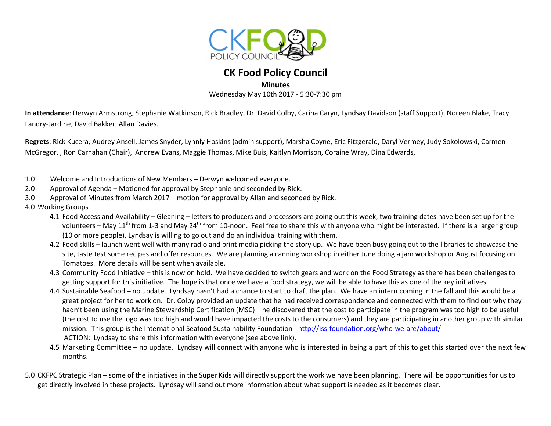

# **CK Food Policy Council**

#### **Minutes**

Wednesday May 10th 2017 - 5:30-7:30 pm

**In attendance**: Derwyn Armstrong, Stephanie Watkinson, Rick Bradley, Dr. David Colby, Carina Caryn, Lyndsay Davidson (staff Support), Noreen Blake, Tracy Landry-Jardine, David Bakker, Allan Davies.

**Regrets**: Rick Kucera, Audrey Ansell, James Snyder, Lynnly Hoskins (admin support), Marsha Coyne, Eric Fitzgerald, Daryl Vermey, Judy Sokolowski, Carmen McGregor, , Ron Carnahan (Chair), Andrew Evans, Maggie Thomas, Mike Buis, Kaitlyn Morrison, Coraine Wray, Dina Edwards,

- 1.0 Welcome and Introductions of New Members Derwyn welcomed everyone.
- 2.0 Approval of Agenda Motioned for approval by Stephanie and seconded by Rick.
- 3.0 Approval of Minutes from March 2017 motion for approval by Allan and seconded by Rick.
- 4.0 Working Groups
	- 4.1 Food Access and Availability Gleaning letters to producers and processors are going out this week, two training dates have been set up for the volunteers – May 11<sup>th</sup> from 1-3 and May 24<sup>th</sup> from 10-noon. Feel free to share this with anyone who might be interested. If there is a larger group (10 or more people), Lyndsay is willing to go out and do an individual training with them.
	- 4.2 Food skills launch went well with many radio and print media picking the story up. We have been busy going out to the libraries to showcase the site, taste test some recipes and offer resources. We are planning a canning workshop in either June doing a jam workshop or August focusing on Tomatoes. More details will be sent when available.
	- 4.3 Community Food Initiative this is now on hold. We have decided to switch gears and work on the Food Strategy as there has been challenges to getting support for this initiative. The hope is that once we have a food strategy, we will be able to have this as one of the key initiatives.
	- 4.4 Sustainable Seafood no update. Lyndsay hasn't had a chance to start to draft the plan. We have an intern coming in the fall and this would be a great project for her to work on. Dr. Colby provided an update that he had received correspondence and connected with them to find out why they hadn't been using the Marine Stewardship Certification (MSC) – he discovered that the cost to participate in the program was too high to be useful (the cost to use the logo was too high and would have impacted the costs to the consumers) and they are participating in another group with similar mission. This group is the International Seafood Sustainability Foundation - http://iss-foundation.org/who-we-are/about/ACTION: Lyndsay to share this information with everyone (see above link).
	- 4.5 Marketing Committee no update. Lyndsay will connect with anyone who is interested in being a part of this to get this started over the next few months.
- 5.0 CKFPC Strategic Plan some of the initiatives in the Super Kids will directly support the work we have been planning. There will be opportunities for us to get directly involved in these projects. Lyndsay will send out more information about what support is needed as it becomes clear.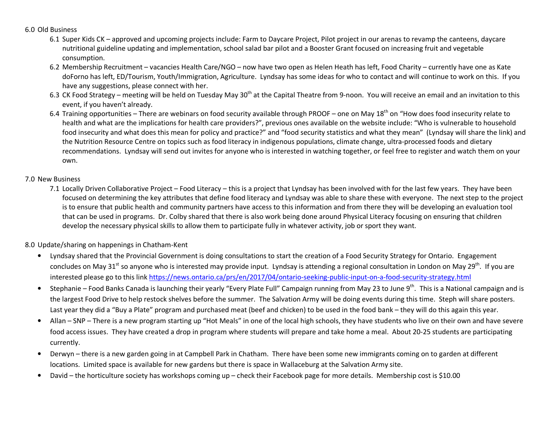### 6.0 Old Business

- 6.1 Super Kids CK approved and upcoming projects include: Farm to Daycare Project, Pilot project in our arenas to revamp the canteens, daycare nutritional guideline updating and implementation, school salad bar pilot and a Booster Grant focused on increasing fruit and vegetable consumption.
- 6.2 Membership Recruitment vacancies Health Care/NGO now have two open as Helen Heath has left, Food Charity currently have one as Kate doForno has left, ED/Tourism, Youth/Immigration, Agriculture. Lyndsay has some ideas for who to contact and will continue to work on this. If you have any suggestions, please connect with her.
- 6.3 CK Food Strategy meeting will be held on Tuesday May 30<sup>th</sup> at the Capital Theatre from 9-noon. You will receive an email and an invitation to this event, if you haven't already.
- 6.4 Training opportunities There are webinars on food security available through PROOF one on May 18<sup>th</sup> on "How does food insecurity relate to health and what are the implications for health care providers?", previous ones available on the website include: "Who is vulnerable to household food insecurity and what does this mean for policy and practice?" and "food security statistics and what they mean" (Lyndsay will share the link) and the Nutrition Resource Centre on topics such as food literacy in indigenous populations, climate change, ultra-processed foods and dietary recommendations. Lyndsay will send out invites for anyone who is interested in watching together, or feel free to register and watch them on your own.

## 7.0 New Business

7.1 Locally Driven Collaborative Project – Food Literacy – this is a project that Lyndsay has been involved with for the last few years. They have been focused on determining the key attributes that define food literacy and Lyndsay was able to share these with everyone. The next step to the project is to ensure that public health and community partners have access to this information and from there they will be developing an evaluation tool that can be used in programs. Dr. Colby shared that there is also work being done around Physical Literacy focusing on ensuring that children develop the necessary physical skills to allow them to participate fully in whatever activity, job or sport they want.

# 8.0 Update/sharing on happenings in Chatham-Kent

- $\bullet$  Lyndsay shared that the Provincial Government is doing consultations to start the creation of a Food Security Strategy for Ontario. Engagement concludes on May 31<sup>st</sup> so anyone who is interested may provide input. Lyndsay is attending a regional consultation in London on May 29<sup>th</sup>. If you are interested please go to this link https://news.ontario.ca/prs/en/2017/04/ontario-seeking-public-input-on-a-food-security-strategy.html
- •Stephanie – Food Banks Canada is launching their yearly "Every Plate Full" Campaign running from May 23 to June 9<sup>th</sup>. This is a National campaign and is the largest Food Drive to help restock shelves before the summer. The Salvation Army will be doing events during this time. Steph will share posters. Last year they did a "Buy a Plate" program and purchased meat (beef and chicken) to be used in the food bank – they will do this again this year.
- $\bullet$  Allan – SNP – There is a new program starting up "Hot Meals" in one of the local high schools, they have students who live on their own and have severe food access issues. They have created a drop in program where students will prepare and take home a meal. About 20-25 students are participating currently.
- • Derwyn – there is a new garden going in at Campbell Park in Chatham. There have been some new immigrants coming on to garden at different locations. Limited space is available for new gardens but there is space in Wallaceburg at the Salvation Army site.
- •David – the horticulture society has workshops coming up – check their Facebook page for more details. Membership cost is \$10.00